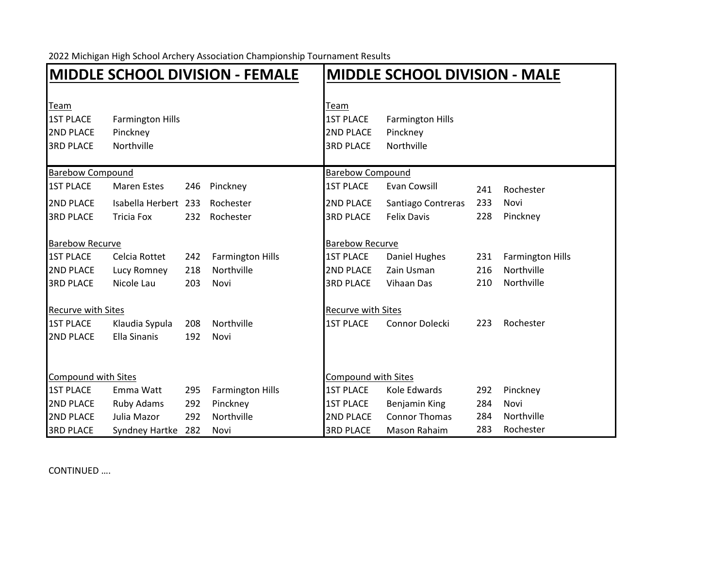2022 Michigan High School Archery Association Championship Tournament Results

|                                                                  |                                                   | <b>MIDDLE SCHOOL DIVISION - FEMALE</b> | <b>MIDDLE SCHOOL DIVISION - MALE</b> |                                                                  |                                                   |     |                         |  |
|------------------------------------------------------------------|---------------------------------------------------|----------------------------------------|--------------------------------------|------------------------------------------------------------------|---------------------------------------------------|-----|-------------------------|--|
| Team<br><b>1ST PLACE</b><br><b>2ND PLACE</b><br><b>3RD PLACE</b> | <b>Farmington Hills</b><br>Pinckney<br>Northville |                                        |                                      | Team<br><b>1ST PLACE</b><br><b>2ND PLACE</b><br><b>3RD PLACE</b> | <b>Farmington Hills</b><br>Pinckney<br>Northville |     |                         |  |
| <b>Barebow Compound</b>                                          |                                                   |                                        | <b>Barebow Compound</b>              |                                                                  |                                                   |     |                         |  |
| <b>1ST PLACE</b>                                                 | <b>Maren Estes</b>                                | 246                                    | Pinckney                             | <b>1ST PLACE</b>                                                 | Evan Cowsill                                      | 241 | Rochester               |  |
| <b>2ND PLACE</b>                                                 | Isabella Herbert 233                              |                                        | Rochester                            | <b>2ND PLACE</b>                                                 | Santiago Contreras                                | 233 | Novi                    |  |
| <b>3RD PLACE</b>                                                 | <b>Tricia Fox</b>                                 | 232                                    | Rochester                            | <b>3RD PLACE</b>                                                 | <b>Felix Davis</b>                                | 228 | Pinckney                |  |
| <b>Barebow Recurve</b>                                           |                                                   |                                        | <b>Barebow Recurve</b>               |                                                                  |                                                   |     |                         |  |
| <b>1ST PLACE</b>                                                 | Celcia Rottet                                     | 242                                    | <b>Farmington Hills</b>              | <b>1ST PLACE</b>                                                 | Daniel Hughes                                     | 231 | <b>Farmington Hills</b> |  |
| <b>2ND PLACE</b>                                                 | Lucy Romney                                       | 218                                    | Northville                           | 2ND PLACE                                                        | Zain Usman                                        | 216 | Northville              |  |
| <b>3RD PLACE</b>                                                 | Nicole Lau                                        | 203                                    | Novi                                 | <b>3RD PLACE</b>                                                 | Vihaan Das                                        | 210 | Northville              |  |
| <b>Recurve with Sites</b>                                        |                                                   |                                        |                                      | <b>Recurve with Sites</b>                                        |                                                   |     |                         |  |
| <b>1ST PLACE</b>                                                 | Klaudia Sypula                                    | 208                                    | Northville                           | <b>1ST PLACE</b>                                                 | Connor Dolecki                                    | 223 | Rochester               |  |
| <b>2ND PLACE</b>                                                 | <b>Ella Sinanis</b>                               | 192                                    | Novi                                 |                                                                  |                                                   |     |                         |  |
| Compound with Sites                                              |                                                   |                                        |                                      | <b>Compound with Sites</b>                                       |                                                   |     |                         |  |
| <b>1ST PLACE</b>                                                 | Emma Watt                                         | 295                                    | <b>Farmington Hills</b>              | <b>1ST PLACE</b>                                                 | Kole Edwards                                      | 292 | Pinckney                |  |
| <b>2ND PLACE</b>                                                 | Ruby Adams                                        | 292                                    | Pinckney                             | <b>1ST PLACE</b>                                                 | Benjamin King                                     | 284 | Novi                    |  |
| <b>2ND PLACE</b>                                                 | Julia Mazor                                       | 292                                    | Northville                           | <b>2ND PLACE</b>                                                 | <b>Connor Thomas</b>                              | 284 | Northville              |  |
| <b>3RD PLACE</b>                                                 | Syndney Hartke                                    | 282                                    | Novi                                 | <b>3RD PLACE</b>                                                 | Mason Rahaim                                      | 283 | Rochester               |  |

CONTINUED ….